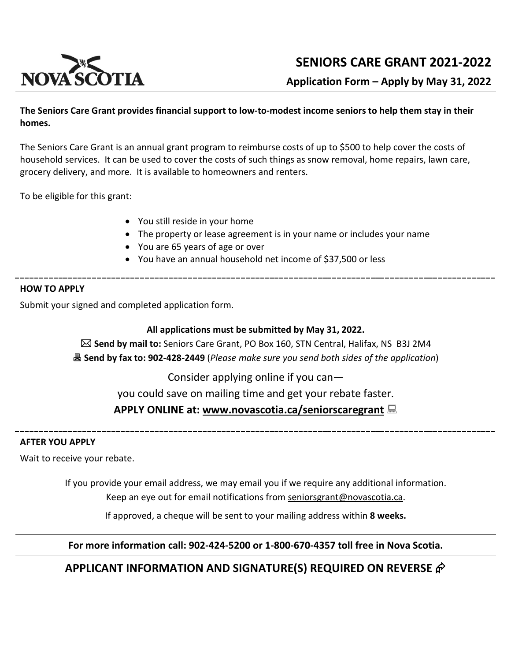

**Application Form – Apply by May 31, 2022**

#### **The Seniors Care Grant provides financial support to low-to-modest income seniors to help them stay in their homes.**

The Seniors Care Grant is an annual grant program to reimburse costs of up to \$500 to help cover the costs of household services. It can be used to cover the costs of such things as snow removal, home repairs, lawn care, grocery delivery, and more. It is available to homeowners and renters.

To be eligible for this grant:

- You still reside in your home
- The property or lease agreement is in your name or includes your name
- You are 65 years of age or over
- You have an annual household net income of \$37,500 or less

**HOW TO APPLY**

Submit your signed and completed application form.

### **All applications must be submitted by May 31, 2022.**

 **Send by mail to:** Seniors Care Grant, PO Box 160, STN Central, Halifax, NS B3J 2M4 **Send by fax to: 902-428-2449** (*Please make sure you send both sides of the application*)

Consider applying online if you can—

you could save on mailing time and get your rebate faster.

## **APPLY ONLINE at: www.novascotia.ca/seniorscaregrant**

#### **AFTER YOU APPLY**

Wait to receive your rebate.

If you provide your email address, we may email you if we require any additional information. Keep an eye out for email notifications from seniorsgrant@novascotia.ca.

If approved, a cheque will be sent to your mailing address within **8 weeks.**

**For more information call: 902-424-5200 or 1-800-670-4357 toll free in Nova Scotia.**

## **APPLICANT INFORMATION AND SIGNATURE(S) REQUIRED ON REVERSE**